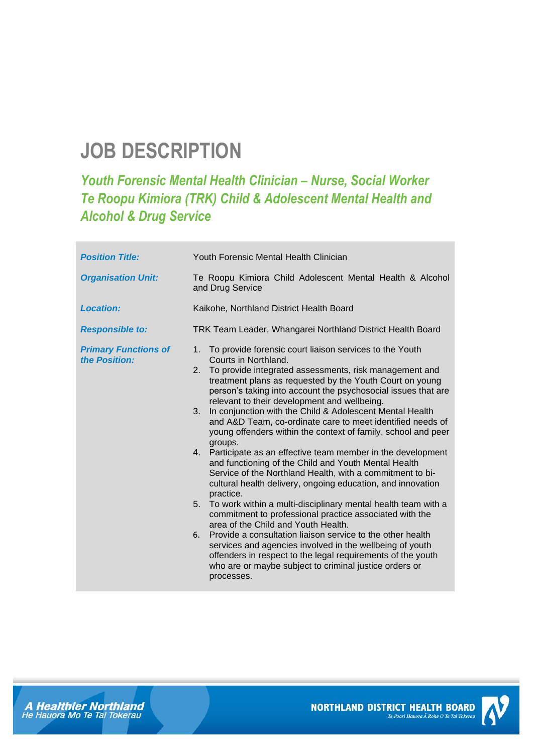# **JOB DESCRIPTION**

## *Youth Forensic Mental Health Clinician – Nurse, Social Worker Te Roopu Kimiora (TRK) Child & Adolescent Mental Health and Alcohol & Drug Service*

| <b>Position Title:</b>                       | Youth Forensic Mental Health Clinician                                                                                                                                                                                                                                                                                                                                                                                                                                                                                                                                                                                                                                                                                                                                                                                                                                                                                                                                                                                                                                                                                                                                                                                                                                       |
|----------------------------------------------|------------------------------------------------------------------------------------------------------------------------------------------------------------------------------------------------------------------------------------------------------------------------------------------------------------------------------------------------------------------------------------------------------------------------------------------------------------------------------------------------------------------------------------------------------------------------------------------------------------------------------------------------------------------------------------------------------------------------------------------------------------------------------------------------------------------------------------------------------------------------------------------------------------------------------------------------------------------------------------------------------------------------------------------------------------------------------------------------------------------------------------------------------------------------------------------------------------------------------------------------------------------------------|
| <b>Organisation Unit:</b>                    | Te Roopu Kimiora Child Adolescent Mental Health & Alcohol<br>and Drug Service                                                                                                                                                                                                                                                                                                                                                                                                                                                                                                                                                                                                                                                                                                                                                                                                                                                                                                                                                                                                                                                                                                                                                                                                |
| <b>Location:</b>                             | Kaikohe, Northland District Health Board                                                                                                                                                                                                                                                                                                                                                                                                                                                                                                                                                                                                                                                                                                                                                                                                                                                                                                                                                                                                                                                                                                                                                                                                                                     |
| <b>Responsible to:</b>                       | TRK Team Leader, Whangarei Northland District Health Board                                                                                                                                                                                                                                                                                                                                                                                                                                                                                                                                                                                                                                                                                                                                                                                                                                                                                                                                                                                                                                                                                                                                                                                                                   |
| <b>Primary Functions of</b><br>the Position: | To provide forensic court liaison services to the Youth<br>1.<br>Courts in Northland.<br>To provide integrated assessments, risk management and<br>2.<br>treatment plans as requested by the Youth Court on young<br>person's taking into account the psychosocial issues that are<br>relevant to their development and wellbeing.<br>In conjunction with the Child & Adolescent Mental Health<br>3.<br>and A&D Team, co-ordinate care to meet identified needs of<br>young offenders within the context of family, school and peer<br>groups.<br>4. Participate as an effective team member in the development<br>and functioning of the Child and Youth Mental Health<br>Service of the Northland Health, with a commitment to bi-<br>cultural health delivery, ongoing education, and innovation<br>practice.<br>5 <sub>1</sub><br>To work within a multi-disciplinary mental health team with a<br>commitment to professional practice associated with the<br>area of the Child and Youth Health.<br>Provide a consultation liaison service to the other health<br>6.<br>services and agencies involved in the wellbeing of youth<br>offenders in respect to the legal requirements of the youth<br>who are or maybe subject to criminal justice orders or<br>processes. |



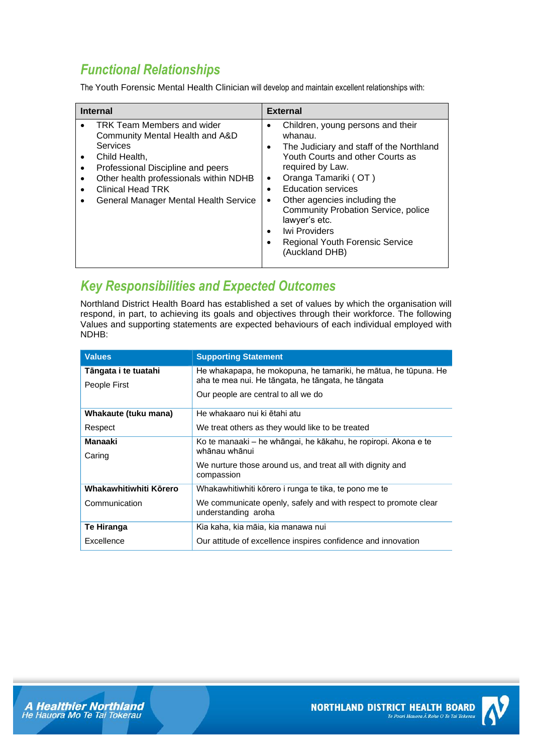## *Functional Relationships*

The Youth Forensic Mental Health Clinician will develop and maintain excellent relationships with:

| <b>Internal</b>                                                                                                                                                                                                                                                                     | <b>External</b>                                                                                                                                                                                                                                                                                                                                                                                            |
|-------------------------------------------------------------------------------------------------------------------------------------------------------------------------------------------------------------------------------------------------------------------------------------|------------------------------------------------------------------------------------------------------------------------------------------------------------------------------------------------------------------------------------------------------------------------------------------------------------------------------------------------------------------------------------------------------------|
| TRK Team Members and wider<br>Community Mental Health and A&D<br><b>Services</b><br>Child Health,<br>$\bullet$<br>Professional Discipline and peers<br>٠<br>Other health professionals within NDHB<br><b>Clinical Head TRK</b><br><b>General Manager Mental Health Service</b><br>٠ | Children, young persons and their<br>whanau.<br>The Judiciary and staff of the Northland<br>Youth Courts and other Courts as<br>required by Law.<br>Oranga Tamariki (OT)<br>٠<br><b>Education services</b><br>Other agencies including the<br>$\bullet$<br><b>Community Probation Service, police</b><br>lawyer's etc.<br><b>Iwi Providers</b><br><b>Regional Youth Forensic Service</b><br>(Auckland DHB) |

## *Key Responsibilities and Expected Outcomes*

Northland District Health Board has established a set of values by which the organisation will respond, in part, to achieving its goals and objectives through their workforce. The following Values and supporting statements are expected behaviours of each individual employed with NDHB:

| <b>Values</b>          | <b>Supporting Statement</b>                                                            |
|------------------------|----------------------------------------------------------------------------------------|
| Tāngata i te tuatahi   | He whakapapa, he mokopuna, he tamariki, he mātua, he tūpuna. He                        |
| People First           | aha te mea nui. He tāngata, he tāngata, he tāngata                                     |
|                        | Our people are central to all we do                                                    |
| Whakaute (tuku mana)   | He whakaaro nui ki ētahi atu                                                           |
| Respect                | We treat others as they would like to be treated                                       |
| Manaaki                | Ko te manaaki - he whāngai, he kākahu, he ropiropi. Akona e te<br>whānau whānui        |
| Caring                 |                                                                                        |
|                        | We nurture those around us, and treat all with dignity and<br>compassion               |
| Whakawhitiwhiti Körero | Whakawhitiwhiti kōrero i runga te tika, te pono me te                                  |
| Communication          | We communicate openly, safely and with respect to promote clear<br>understanding aroha |
| Te Hiranga             | Kia kaha, kia māia, kia manawa nui                                                     |
| Excellence             | Our attitude of excellence inspires confidence and innovation                          |



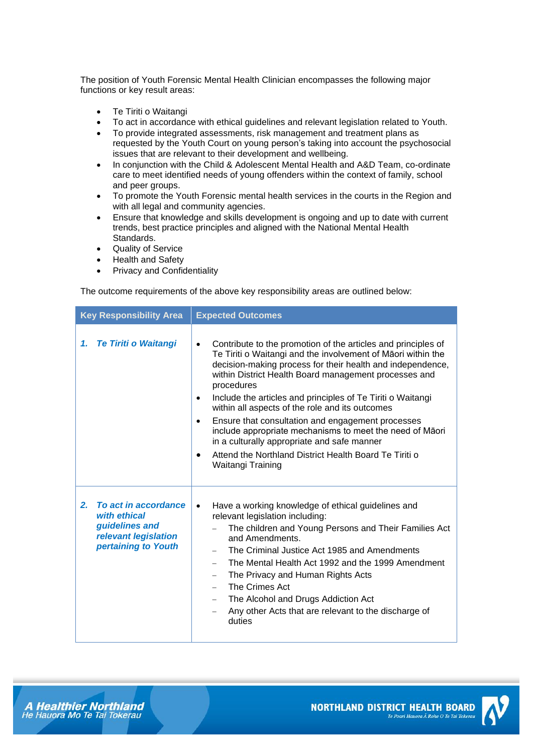The position of Youth Forensic Mental Health Clinician encompasses the following major functions or key result areas:

- Te Tiriti o Waitangi
- To act in accordance with ethical guidelines and relevant legislation related to Youth.
- To provide integrated assessments, risk management and treatment plans as requested by the Youth Court on young person's taking into account the psychosocial issues that are relevant to their development and wellbeing.
- In conjunction with the Child & Adolescent Mental Health and A&D Team, co-ordinate care to meet identified needs of young offenders within the context of family, school and peer groups.
- To promote the Youth Forensic mental health services in the courts in the Region and with all legal and community agencies.
- Ensure that knowledge and skills development is ongoing and up to date with current trends, best practice principles and aligned with the National Mental Health Standards.
- Quality of Service
- Health and Safety
- Privacy and Confidentiality

The outcome requirements of the above key responsibility areas are outlined below:

| <b>Key Responsibility Area</b>                                                                              | <b>Expected Outcomes</b>                                                                                                                                                                                                                                                                                                                                                                                                                                                                                                                                                                                                                                                                |
|-------------------------------------------------------------------------------------------------------------|-----------------------------------------------------------------------------------------------------------------------------------------------------------------------------------------------------------------------------------------------------------------------------------------------------------------------------------------------------------------------------------------------------------------------------------------------------------------------------------------------------------------------------------------------------------------------------------------------------------------------------------------------------------------------------------------|
| <b>Te Tiriti o Waitangi</b><br>1.                                                                           | Contribute to the promotion of the articles and principles of<br>$\bullet$<br>Te Tiriti o Waitangi and the involvement of Māori within the<br>decision-making process for their health and independence,<br>within District Health Board management processes and<br>procedures<br>Include the articles and principles of Te Tiriti o Waitangi<br>$\bullet$<br>within all aspects of the role and its outcomes<br>Ensure that consultation and engagement processes<br>$\bullet$<br>include appropriate mechanisms to meet the need of Māori<br>in a culturally appropriate and safe manner<br>Attend the Northland District Health Board Te Tiriti o<br>$\bullet$<br>Waitangi Training |
| To act in accordance<br>2.<br>with ethical<br>guidelines and<br>relevant legislation<br>pertaining to Youth | Have a working knowledge of ethical guidelines and<br>$\bullet$<br>relevant legislation including:<br>The children and Young Persons and Their Families Act<br>and Amendments.<br>The Criminal Justice Act 1985 and Amendments<br>The Mental Health Act 1992 and the 1999 Amendment<br>The Privacy and Human Rights Acts<br>-<br>The Crimes Act<br>$\overline{\phantom{0}}$<br>The Alcohol and Drugs Addiction Act<br>$\overline{\phantom{0}}$<br>Any other Acts that are relevant to the discharge of<br>duties                                                                                                                                                                        |

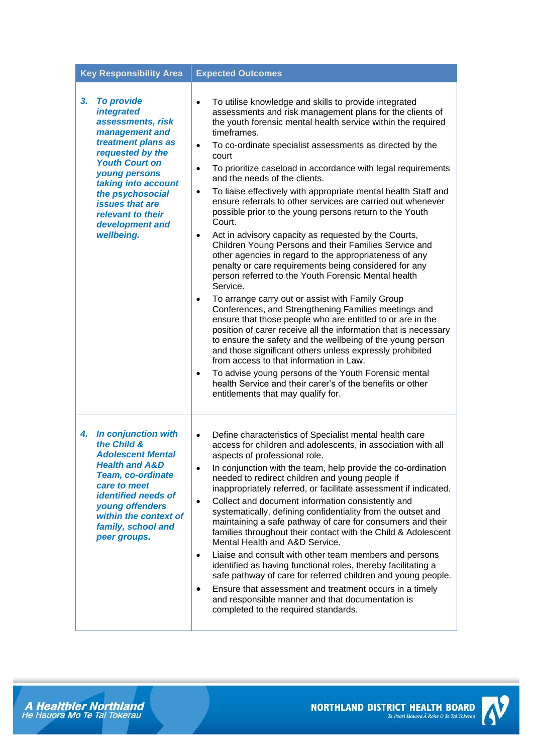| <b>Key Responsibility Area</b>                                                                                                                                                                                                                                                                                        | <b>Expected Outcomes</b>                                                                                                                                                                                                                                                                                                                                                                                                                                                                                                                                                                                                                                                                                                                                                                                                                                                                                                                                                                                                                                                                                                                                                                                                                                                                                                                                                                                                                                                                                                                                    |
|-----------------------------------------------------------------------------------------------------------------------------------------------------------------------------------------------------------------------------------------------------------------------------------------------------------------------|-------------------------------------------------------------------------------------------------------------------------------------------------------------------------------------------------------------------------------------------------------------------------------------------------------------------------------------------------------------------------------------------------------------------------------------------------------------------------------------------------------------------------------------------------------------------------------------------------------------------------------------------------------------------------------------------------------------------------------------------------------------------------------------------------------------------------------------------------------------------------------------------------------------------------------------------------------------------------------------------------------------------------------------------------------------------------------------------------------------------------------------------------------------------------------------------------------------------------------------------------------------------------------------------------------------------------------------------------------------------------------------------------------------------------------------------------------------------------------------------------------------------------------------------------------------|
| <b>To provide</b><br>3 <sub>r</sub><br><i><b>integrated</b></i><br>assessments, risk<br>management and<br>treatment plans as<br>requested by the<br><b>Youth Court on</b><br>young persons<br>taking into account<br>the psychosocial<br><i>issues that are</i><br>relevant to their<br>development and<br>wellbeing. | To utilise knowledge and skills to provide integrated<br>$\bullet$<br>assessments and risk management plans for the clients of<br>the youth forensic mental health service within the required<br>timeframes.<br>To co-ordinate specialist assessments as directed by the<br>$\bullet$<br>court<br>To prioritize caseload in accordance with legal requirements<br>$\bullet$<br>and the needs of the clients.<br>To liaise effectively with appropriate mental health Staff and<br>$\bullet$<br>ensure referrals to other services are carried out whenever<br>possible prior to the young persons return to the Youth<br>Court.<br>Act in advisory capacity as requested by the Courts,<br>$\bullet$<br>Children Young Persons and their Families Service and<br>other agencies in regard to the appropriateness of any<br>penalty or care requirements being considered for any<br>person referred to the Youth Forensic Mental health<br>Service.<br>To arrange carry out or assist with Family Group<br>$\bullet$<br>Conferences, and Strengthening Families meetings and<br>ensure that those people who are entitled to or are in the<br>position of carer receive all the information that is necessary<br>to ensure the safety and the wellbeing of the young person<br>and those significant others unless expressly prohibited<br>from access to that information in Law.<br>To advise young persons of the Youth Forensic mental<br>$\bullet$<br>health Service and their carer's of the benefits or other<br>entitlements that may qualify for. |
| <b>In conjunction with</b><br>4.<br>the Child &<br><b>Adolescent Mental</b><br><b>Health and A&amp;D</b><br><b>Team, co-ordinate</b><br>care to meet<br><b>identified needs of</b><br>young offenders<br>within the context of<br>family, school and<br>peer groups.                                                  | Define characteristics of Specialist mental health care<br>$\bullet$<br>access for children and adolescents, in association with all<br>aspects of professional role.<br>In conjunction with the team, help provide the co-ordination<br>needed to redirect children and young people if<br>inappropriately referred, or facilitate assessment if indicated.<br>Collect and document information consistently and<br>$\bullet$<br>systematically, defining confidentiality from the outset and<br>maintaining a safe pathway of care for consumers and their<br>families throughout their contact with the Child & Adolescent<br>Mental Health and A&D Service.<br>Liaise and consult with other team members and persons<br>$\bullet$<br>identified as having functional roles, thereby facilitating a<br>safe pathway of care for referred children and young people.<br>Ensure that assessment and treatment occurs in a timely<br>$\bullet$<br>and responsible manner and that documentation is<br>completed to the required standards.                                                                                                                                                                                                                                                                                                                                                                                                                                                                                                                 |

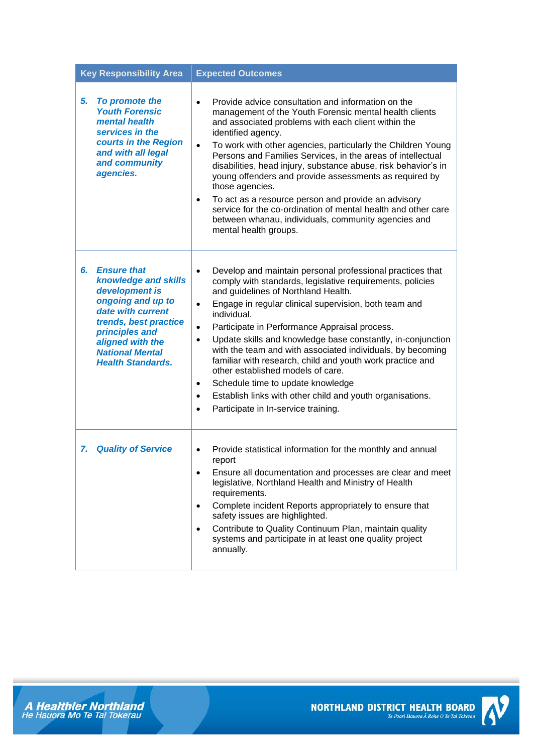| <b>Key Responsibility Area</b>                                                                                                                                                                                                    | <b>Expected Outcomes</b>                                                                                                                                                                                                                                                                                                                                                                                                                                                                                                                                                                                                                                                                                                                                  |
|-----------------------------------------------------------------------------------------------------------------------------------------------------------------------------------------------------------------------------------|-----------------------------------------------------------------------------------------------------------------------------------------------------------------------------------------------------------------------------------------------------------------------------------------------------------------------------------------------------------------------------------------------------------------------------------------------------------------------------------------------------------------------------------------------------------------------------------------------------------------------------------------------------------------------------------------------------------------------------------------------------------|
| 5.<br>To promote the<br><b>Youth Forensic</b><br>mental health<br>services in the<br>courts in the Region<br>and with all legal<br>and community<br>agencies.                                                                     | Provide advice consultation and information on the<br>$\bullet$<br>management of the Youth Forensic mental health clients<br>and associated problems with each client within the<br>identified agency.<br>To work with other agencies, particularly the Children Young<br>$\bullet$<br>Persons and Families Services, in the areas of intellectual<br>disabilities, head injury, substance abuse, risk behavior's in<br>young offenders and provide assessments as required by<br>those agencies.<br>To act as a resource person and provide an advisory<br>$\bullet$<br>service for the co-ordination of mental health and other care<br>between whanau, individuals, community agencies and<br>mental health groups.                                    |
| <b>Ensure that</b><br>6.<br>knowledge and skills<br>development is<br>ongoing and up to<br>date with current<br>trends, best practice<br>principles and<br>aligned with the<br><b>National Mental</b><br><b>Health Standards.</b> | Develop and maintain personal professional practices that<br>$\bullet$<br>comply with standards, legislative requirements, policies<br>and guidelines of Northland Health.<br>Engage in regular clinical supervision, both team and<br>$\bullet$<br>individual.<br>Participate in Performance Appraisal process.<br>$\bullet$<br>Update skills and knowledge base constantly, in-conjunction<br>$\bullet$<br>with the team and with associated individuals, by becoming<br>familiar with research, child and youth work practice and<br>other established models of care.<br>Schedule time to update knowledge<br>$\bullet$<br>Establish links with other child and youth organisations.<br>$\bullet$<br>Participate in In-service training.<br>$\bullet$ |
| <b>Quality of Service</b><br>7.                                                                                                                                                                                                   | Provide statistical information for the monthly and annual<br>$\bullet$<br>report<br>Ensure all documentation and processes are clear and meet<br>$\bullet$<br>legislative, Northland Health and Ministry of Health<br>requirements.<br>Complete incident Reports appropriately to ensure that<br>$\bullet$<br>safety issues are highlighted.<br>Contribute to Quality Continuum Plan, maintain quality<br>$\bullet$<br>systems and participate in at least one quality project<br>annually.                                                                                                                                                                                                                                                              |





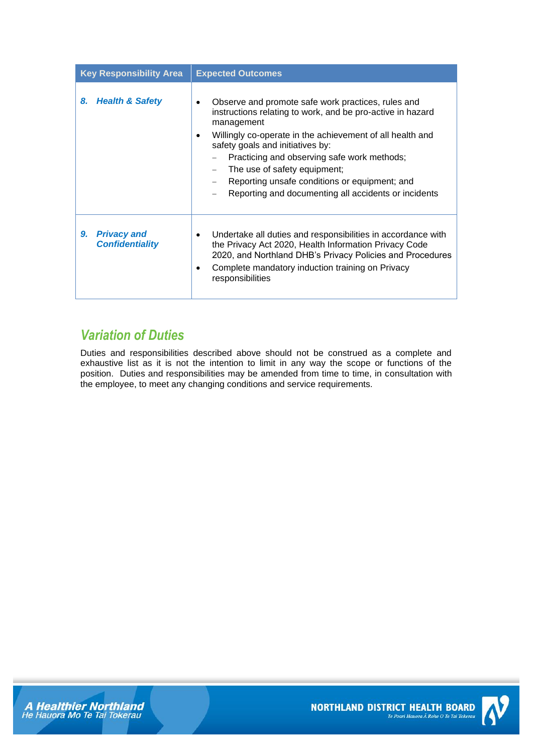| <b>Key Responsibility Area</b>                     | <b>Expected Outcomes</b>                                                                                                                                                                                                                                                                                                                                                                                                     |
|----------------------------------------------------|------------------------------------------------------------------------------------------------------------------------------------------------------------------------------------------------------------------------------------------------------------------------------------------------------------------------------------------------------------------------------------------------------------------------------|
| <b>Health &amp; Safety</b><br>8.                   | Observe and promote safe work practices, rules and<br>instructions relating to work, and be pro-active in hazard<br>management<br>Willingly co-operate in the achievement of all health and<br>٠<br>safety goals and initiatives by:<br>Practicing and observing safe work methods;<br>The use of safety equipment;<br>Reporting unsafe conditions or equipment; and<br>Reporting and documenting all accidents or incidents |
| <b>Privacy and</b><br>9.<br><b>Confidentiality</b> | Undertake all duties and responsibilities in accordance with<br>the Privacy Act 2020, Health Information Privacy Code<br>2020, and Northland DHB's Privacy Policies and Procedures<br>Complete mandatory induction training on Privacy<br>٠<br>responsibilities                                                                                                                                                              |

## *Variation of Duties*

Duties and responsibilities described above should not be construed as a complete and exhaustive list as it is not the intention to limit in any way the scope or functions of the position. Duties and responsibilities may be amended from time to time, in consultation with the employee, to meet any changing conditions and service requirements.



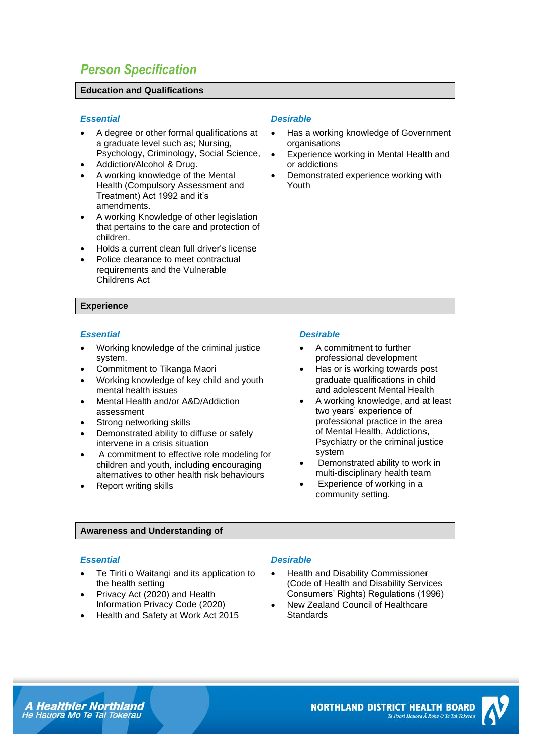## *Person Specification*

### **Education and Qualifications**

### *Essential Desirable*

- A degree or other formal qualifications at a graduate level such as; Nursing, Psychology, Criminology, Social Science,
- Addiction/Alcohol & Drug.
- A working knowledge of the Mental Health (Compulsory Assessment and Treatment) Act 1992 and it's amendments.
- A working Knowledge of other legislation that pertains to the care and protection of children.
- Holds a current clean full driver's license
- Police clearance to meet contractual requirements and the Vulnerable Childrens Act

### **Experience**

### *Essential Desirable*

- Working knowledge of the criminal justice system.
- Commitment to Tikanga Maori
- Working knowledge of key child and youth mental health issues
- Mental Health and/or A&D/Addiction assessment
- Strong networking skills
- Demonstrated ability to diffuse or safely intervene in a crisis situation
- A commitment to effective role modeling for children and youth, including encouraging alternatives to other health risk behaviours
- Report writing skills

- Has a working knowledge of Government **organisations**
- Experience working in Mental Health and or addictions
- Demonstrated experience working with Youth

- A commitment to further professional development
- Has or is working towards post graduate qualifications in child and adolescent Mental Health
- A working knowledge, and at least two years' experience of professional practice in the area of Mental Health, Addictions, Psychiatry or the criminal justice system
- Demonstrated ability to work in multi-disciplinary health team
- Experience of working in a community setting.

### **Awareness and Understanding of**

- Te Tiriti o Waitangi and its application to the health setting
- Privacy Act (2020) and Health Information Privacy Code (2020)
- Health and Safety at Work Act 2015

### *Essential Desirable*

- Health and Disability Commissioner (Code of Health and Disability Services Consumers' Rights) Regulations (1996)
- New Zealand Council of Healthcare **Standards**